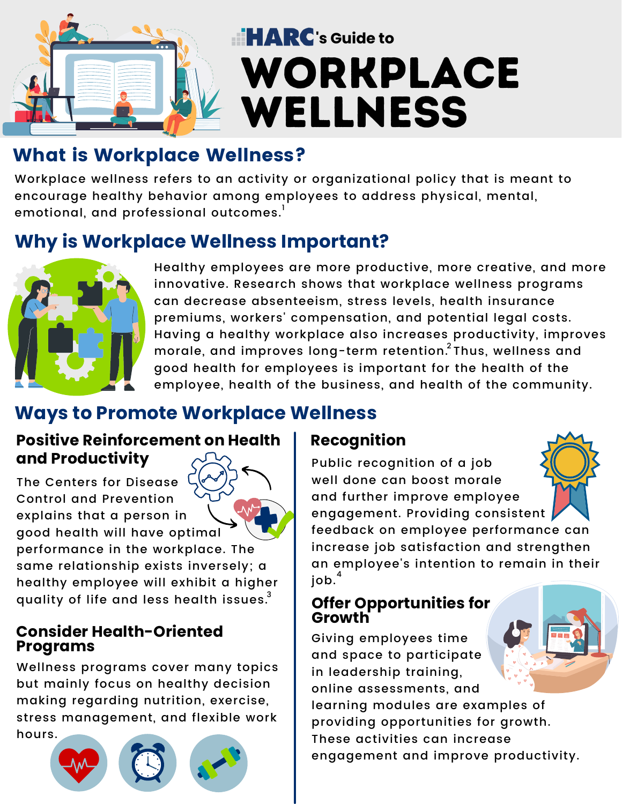

# **EXARC**'s Guide to WORKPLACE WELLNESS

## What is Workplace Wellness?

Workplace wellness refers to an activity or organizational policy that is meant to encourage healthy behavior among employees to address physical, mental, emotional, and professional outcomes. $^{\text{!}}$ 

## **Why is Workplace Wellness Important?**



Healthy employees are more productive, more creative, and more innovative. Research shows that workplace wellness programs can decrease absenteeism, stress levels, health insurance premiums, workers' compensation, and potential legal costs. Having a healthy workplace also increases productivity, improves morale, and improves long-term retention. $^2$ Thus, wellness and good health for employees is important for the health of the employee, health of the business, and health of the community.

## **Ways to Promote Workplace Wellness**

### **Positive Reinforcement on Health Recognition and Productivity**

The Centers for Disease Control and Prevention explains that a person in good health will have optimal performance in the workplace. The same relationship exists inversely; a healthy employee will exhibit a higher quality of life and less health issues. $^3$ 

#### **Consider Health-Oriented Programs**

Wellness programs cover many topics but mainly focus on healthy decision making regarding nutrition, exercise, stress management, and flexible work hours.





Public recognition of a job well done can boost morale and further improve employee engagement. Providing consistent



#### **Offer Opportunities for Growth**

Giving employees time and space to participate in leadership training, online assessments, and learning modules are examples of providing opportunities for growth. These activities can increase engagement and improve productivity.